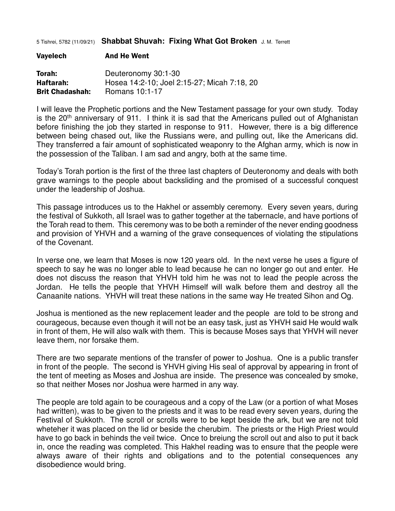5 Tishrei, 5782 (11/09/21) **Shabbat Shuvah: Fixing What Got Broken** J. M. Terrett

| Torah:                 | Deuteronomy 30:1-30                         |
|------------------------|---------------------------------------------|
| Haftarah:              | Hosea 14:2-10; Joel 2:15-27; Micah 7:18, 20 |
| <b>Brit Chadashah:</b> | Romans 10:1-17                              |

Vayelech And He Went

I will leave the Prophetic portions and the New Testament passage for your own study. Today is the  $20<sup>th</sup>$  anniversary of 911. I think it is sad that the Americans pulled out of Afghanistan before finishing the job they started in response to 911. However, there is a big difference between being chased out, like the Russians were, and pulling out, like the Americans did. They transferred a fair amount of sophisticated weaponry to the Afghan army, which is now in the possession of the Taliban. I am sad and angry, both at the same time.

Today's Torah portion is the first of the three last chapters of Deuteronomy and deals with both grave warnings to the people about backsliding and the promised of a successful conquest under the leadership of Joshua.

This passage introduces us to the Hakhel or assembly ceremony. Every seven years, during the festival of Sukkoth, all Israel was to gather together at the tabernacle, and have portions of the Torah read to them. This ceremony was to be both a reminder of the never ending goodness and provision of YHVH and a warning of the grave consequences of violating the stipulations of the Covenant.

In verse one, we learn that Moses is now 120 years old. In the next verse he uses a figure of speech to say he was no longer able to lead because he can no longer go out and enter. He does not discuss the reason that YHVH told him he was not to lead the people across the Jordan. He tells the people that YHVH Himself will walk before them and destroy all the Canaanite nations. YHVH will treat these nations in the same way He treated Sihon and Og.

Joshua is mentioned as the new replacement leader and the people are told to be strong and courageous, because even though it will not be an easy task, just as YHVH said He would walk in front of them, He will also walk with them. This is because Moses says that YHVH will never leave them, nor forsake them.

There are two separate mentions of the transfer of power to Joshua. One is a public transfer in front of the people. The second is YHVH giving His seal of approval by appearing in front of the tent of meeting as Moses and Joshua are inside. The presence was concealed by smoke, so that neither Moses nor Joshua were harmed in any way.

The people are told again to be courageous and a copy of the Law (or a portion of what Moses had written), was to be given to the priests and it was to be read every seven years, during the Festival of Sukkoth. The scroll or scrolls were to be kept beside the ark, but we are not told wheteher it was placed on the lid or beside the cherubim. The priests or the High Priest would have to go back in behinds the veil twice. Once to breiung the scroll out and also to put it back in, once the reading was completed. This Hakhel reading was to ensure that the people were always aware of their rights and obligations and to the potential consequences any disobedience would bring.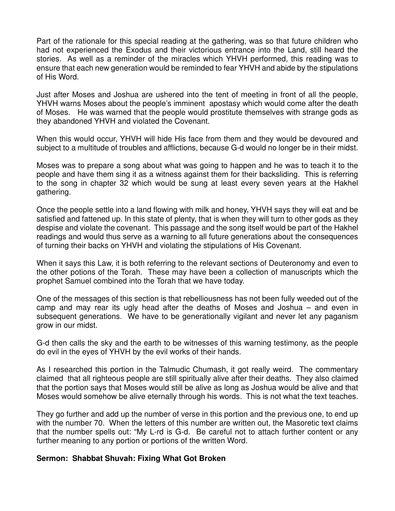Part of the rationale for this special reading at the gathering, was so that future children who had not experienced the Exodus and their victorious entrance into the Land, still heard the stories. As well as a reminder of the miracles which YHVH performed, this reading was to ensure that each new generation would be reminded to fear YHVH and abide by the stipulations of His Word.

Just after Moses and Joshua are ushered into the tent of meeting in front of all the people, YHVH warns Moses about the people's imminent apostasy which would come after the death of Moses. He was warned that the people would prostitute themselves with strange gods as they abandoned YHVH and violated the Covenant.

When this would occur, YHVH will hide His face from them and they would be devoured and subject to a multitude of troubles and afflictions, because G-d would no longer be in their midst.

Moses was to prepare a song about what was going to happen and he was to teach it to the people and have them sing it as a witness against them for their backsliding. This is referring to the song in chapter 32 which would be sung at least every seven years at the Hakhel gathering.

Once the people settle into a land flowing with milk and honey, YHVH says they will eat and be satisfied and fattened up. In this state of plenty, that is when they will turn to other gods as they despise and violate the covenant. This passage and the song itself would be part of the Hakhel readings and would thus serve as a warning to all future generations about the consequences of turning their backs on YHVH and violating the stipulations of His Covenant.

When it says this Law, it is both referring to the relevant sections of Deuteronomy and even to the other potions of the Torah. These may have been a collection of manuscripts which the prophet Samuel combined into the Torah that we have today.

One of the messages of this section is that rebelliousness has not been fully weeded out of the camp and may rear its ugly head after the deaths of Moses and Joshua – and even in subsequent generations. We have to be generationally vigilant and never let any paganism grow in our midst.

G-d then calls the sky and the earth to be witnesses of this warning testimony, as the people do evil in the eyes of YHVH by the evil works of their hands.

As I researched this portion in the Talmudic Chumash, it got really weird. The commentary claimed that all righteous people are still spiritually alive after their deaths. They also claimed that the portion says that Moses would still be alive as long as Joshua would be alive and that Moses would somehow be alive eternally through his words. This is not what the text teaches.

They go further and add up the number of verse in this portion and the previous one, to end up with the number 70. When the letters of this number are written out, the Masoretic text claims that the number spells out: "My L-rd is G-d. Be careful not to attach further content or any further meaning to any portion or portions of the written Word.

## **Sermon: Shabbat Shuvah: Fixing What Got Broken**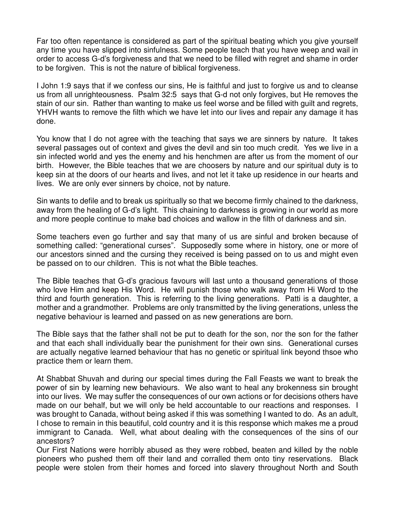Far too often repentance is considered as part of the spiritual beating which you give yourself any time you have slipped into sinfulness. Some people teach that you have weep and wail in order to access G-d's forgiveness and that we need to be filled with regret and shame in order to be forgiven. This is not the nature of biblical forgiveness.

I John 1:9 says that if we confess our sins, He is faithful and just to forgive us and to cleanse us from all unrighteousness. Psalm 32:5 says that G-d not only forgives, but He removes the stain of our sin. Rather than wanting to make us feel worse and be filled with guilt and regrets, YHVH wants to remove the filth which we have let into our lives and repair any damage it has done.

You know that I do not agree with the teaching that says we are sinners by nature. It takes several passages out of context and gives the devil and sin too much credit. Yes we live in a sin infected world and yes the enemy and his henchmen are after us from the moment of our birth. However, the Bible teaches that we are choosers by nature and our spiritual duty is to keep sin at the doors of our hearts and lives, and not let it take up residence in our hearts and lives. We are only ever sinners by choice, not by nature.

Sin wants to defile and to break us spiritually so that we become firmly chained to the darkness, away from the healing of G-d's light. This chaining to darkness is growing in our world as more and more people continue to make bad choices and wallow in the filth of darkness and sin.

Some teachers even go further and say that many of us are sinful and broken because of something called: "generational curses". Supposedly some where in history, one or more of our ancestors sinned and the cursing they received is being passed on to us and might even be passed on to our children. This is not what the Bible teaches.

The Bible teaches that G-d's gracious favours will last unto a thousand generations of those who love Him and keep His Word. He will punish those who walk away from Hi Word to the third and fourth generation. This is referring to the living generations. Patti is a daughter, a mother and a grandmother. Problems are only transmitted by the living generations, unless the negative behaviour is learned and passed on as new generations are born.

The Bible says that the father shall not be put to death for the son, nor the son for the father and that each shall individually bear the punishment for their own sins. Generational curses are actually negative learned behaviour that has no genetic or spiritual link beyond thsoe who practice them or learn them.

At Shabbat Shuvah and during our special times during the Fall Feasts we want to break the power of sin by learning new behaviours. We also want to heal any brokenness sin brought into our lives. We may suffer the consequences of our own actions or for decisions others have made on our behalf, but we will only be held accountable to our reactions and responses. I was brought to Canada, without being asked if this was something I wanted to do. As an adult, I chose to remain in this beautiful, cold country and it is this response which makes me a proud immigrant to Canada. Well, what about dealing with the consequences of the sins of our ancestors?

Our First Nations were horribly abused as they were robbed, beaten and killed by the noble pioneers who pushed them off their land and corralled them onto tiny reservations. Black people were stolen from their homes and forced into slavery throughout North and South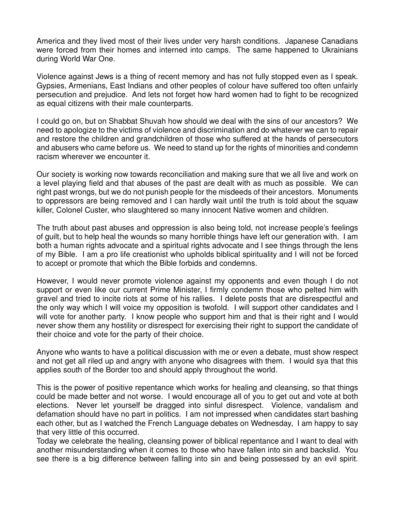America and they lived most of their lives under very harsh conditions. Japanese Canadians were forced from their homes and interned into camps. The same happened to Ukrainians during World War One.

Violence against Jews is a thing of recent memory and has not fully stopped even as I speak. Gypsies, Armenians, East Indians and other peoples of colour have suffered too often unfairly persecution and prejudice. And lets not forget how hard women had to fight to be recognized as equal citizens with their male counterparts.

I could go on, but on Shabbat Shuvah how should we deal with the sins of our ancestors? We need to apologize to the victims of violence and discrimination and do whatever we can to repair and restore the children and grandchildren of those who suffered at the hands of persecutors and abusers who came before us. We need to stand up for the rights of minorities and condemn racism wherever we encounter it.

Our society is working now towards reconciliation and making sure that we all live and work on a level playing field and that abuses of the past are dealt with as much as possible. We can right past wrongs, but we do not punish people for the misdeeds of their ancestors. Monuments to oppressors are being removed and I can hardly wait until the truth is told about the squaw killer, Colonel Custer, who slaughtered so many innocent Native women and children.

The truth about past abuses and oppression is also being told, not increase people's feelings of guilt, but to help heal the wounds so many horrible things have left our generation with. I am both a human rights advocate and a spiritual rights advocate and I see things through the lens of my Bible. I am a pro life creationist who upholds biblical spirituality and I will not be forced to accept or promote that which the Bible forbids and condemns.

However, I would never promote violence against my opponents and even though I do not support or even like our current Prime Minister, I firmly condemn those who pelted him with gravel and tried to incite riots at some of his rallies. I delete posts that are disrespectful and the only way which I will voice my opposition is twofold. I will support other candidates and I will vote for another party. I know people who support him and that is their right and I would never show them any hostility or disrespect for exercising their right to support the candidate of their choice and vote for the party of their choice.

Anyone who wants to have a political discussion with me or even a debate, must show respect and not get all riled up and angry with anyone who disagrees with them. I would sya that this applies south of the Border too and should apply throughout the world.

This is the power of positive repentance which works for healing and cleansing, so that things could be made better and not worse. I would encourage all of you to get out and vote at both elections. Never let yourself be dragged into sinful disrespect. Violence, vandalism and defamation should have no part in politics. I am not impressed when candidates start bashing each other, but as I watched the French Language debates on Wednesday, I am happy to say that very little of this occurred.

Today we celebrate the healing, cleansing power of biblical repentance and I want to deal with another misunderstanding when it comes to those who have fallen into sin and backslid. You see there is a big difference between falling into sin and being possessed by an evil spirit.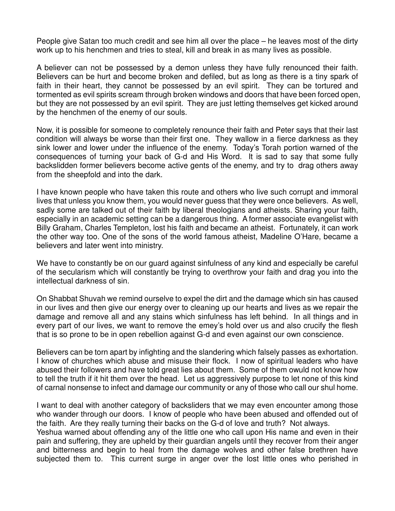People give Satan too much credit and see him all over the place – he leaves most of the dirty work up to his henchmen and tries to steal, kill and break in as many lives as possible.

A believer can not be possessed by a demon unless they have fully renounced their faith. Believers can be hurt and become broken and defiled, but as long as there is a tiny spark of faith in their heart, they cannot be possessed by an evil spirit. They can be tortured and tormented as evil spirits scream through broken windows and doors that have been forced open, but they are not possessed by an evil spirit. They are just letting themselves get kicked around by the henchmen of the enemy of our souls.

Now, it is possible for someone to completely renounce their faith and Peter says that their last condition will always be worse than their first one. They wallow in a fierce darkness as they sink lower and lower under the influence of the enemy. Today's Torah portion warned of the consequences of turning your back of G-d and His Word. It is sad to say that some fully backslidden former believers become active gents of the enemy, and try to drag others away from the sheepfold and into the dark.

I have known people who have taken this route and others who live such corrupt and immoral lives that unless you know them, you would never guess that they were once believers. As well, sadly some are talked out of their faith by liberal theologians and atheists. Sharing your faith, especially in an academic setting can be a dangerous thing. A former associate evangelist with Billy Graham, Charles Templeton, lost his faith and became an atheist. Fortunately, it can work the other way too. One of the sons of the world famous atheist, Madeline O'Hare, became a believers and later went into ministry.

We have to constantly be on our guard against sinfulness of any kind and especially be careful of the secularism which will constantly be trying to overthrow your faith and drag you into the intellectual darkness of sin.

On Shabbat Shuvah we remind ourselve to expel the dirt and the damage which sin has caused in our lives and then give our energy over to cleaning up our hearts and lives as we repair the damage and remove all and any stains which sinfulness has left behind. In all things and in every part of our lives, we want to remove the emey's hold over us and also crucify the flesh that is so prone to be in open rebellion against G-d and even against our own conscience.

Believers can be torn apart by infighting and the slandering which falsely passes as exhortation. I know of churches which abuse and misuse their flock. I now of spiritual leaders who have abused their followers and have told great lies about them. Some of them owuld not know how to tell the truth if it hit them over the head. Let us aggressively purpose to let none of this kind of carnal nonsense to infect and damage our community or any of those who call our shul home.

I want to deal with another category of backsliders that we may even encounter among those who wander through our doors. I know of people who have been abused and offended out of the faith. Are they really turning their backs on the G-d of love and truth? Not always. Yeshua warned about offending any of the little one who call upon His name and even in their pain and suffering, they are upheld by their guardian angels until they recover from their anger and bitterness and begin to heal from the damage wolves and other false brethren have subjected them to. This current surge in anger over the lost little ones who perished in